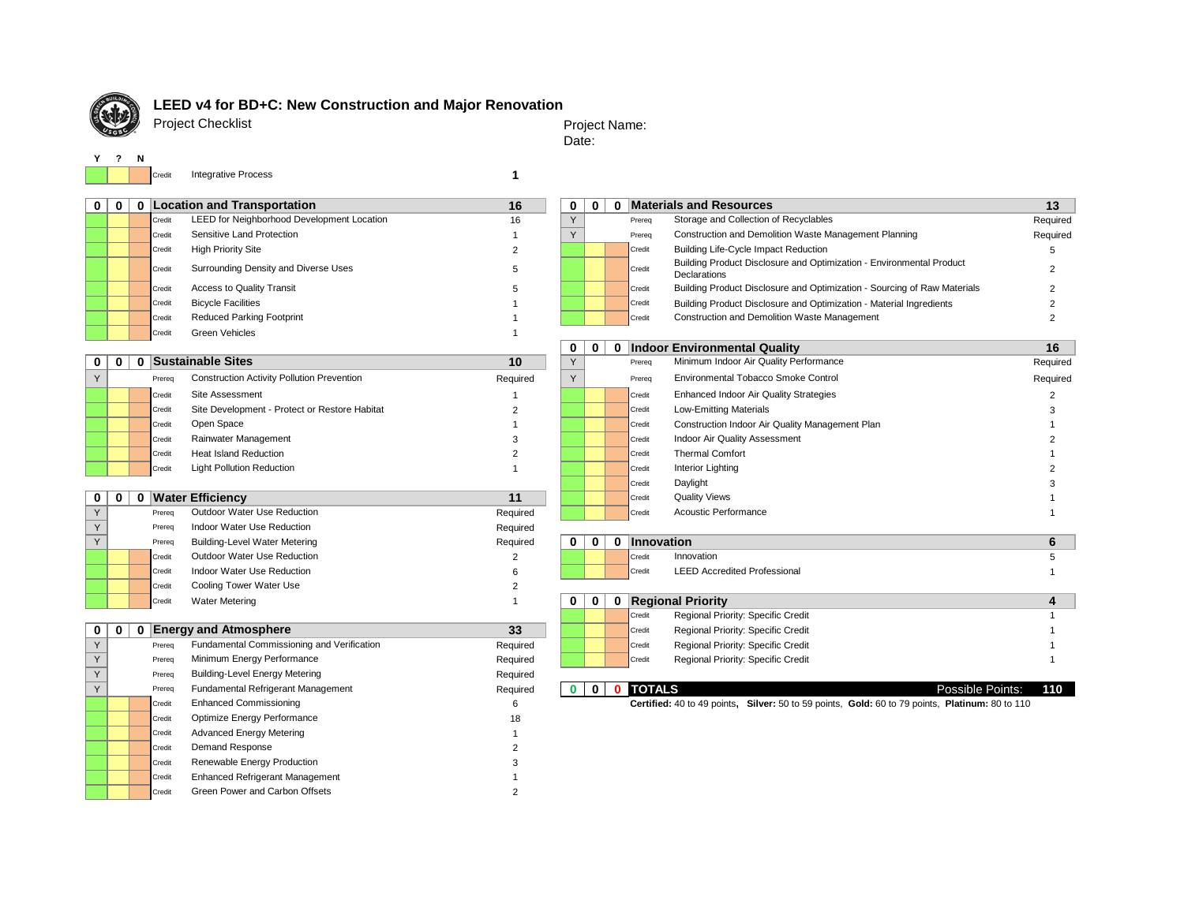

# **LEED v4 for BD+C: New Construction and Major Renovation**

Project Checklist

Project Name: Date:

 $\sim$ 

|  | Credit | <b>Integrative Process</b> |  |  |
|--|--------|----------------------------|--|--|
|--|--------|----------------------------|--|--|

| 0 | $\mathbf 0$ |   |        | 0   Location and Transportation                   | 16             | 0            | 0 <sup>1</sup> |   |               | 0 Materials and Resources                                                                       | 13             |
|---|-------------|---|--------|---------------------------------------------------|----------------|--------------|----------------|---|---------------|-------------------------------------------------------------------------------------------------|----------------|
|   |             |   | Credit | LEED for Neighborhood Development Location        | 16             | Y            |                |   | Prereq        | Storage and Collection of Recyclables                                                           | Required       |
|   |             |   | Credit | Sensitive Land Protection                         |                | Y            |                |   | Prereq        | Construction and Demolition Waste Management Planning                                           | Required       |
|   |             |   | Credit | <b>High Priority Site</b>                         | $\overline{2}$ |              |                |   | Credit        | <b>Building Life-Cycle Impact Reduction</b>                                                     | 5              |
|   |             |   | Credit | Surrounding Density and Diverse Uses              | 5              |              |                |   | Credit        | Building Product Disclosure and Optimization - Environmental Product<br>Declarations            | 2              |
|   |             |   | Credit | <b>Access to Quality Transit</b>                  | 5              |              |                |   | Credit        | Building Product Disclosure and Optimization - Sourcing of Raw Materials                        | $\overline{2}$ |
|   |             |   | Credit | <b>Bicycle Facilities</b>                         |                |              |                |   | Credit        | Building Product Disclosure and Optimization - Material Ingredients                             | 2              |
|   |             |   | Credit | <b>Reduced Parking Footprint</b>                  |                |              |                |   | Credit        | Construction and Demolition Waste Management                                                    | $\overline{2}$ |
|   |             |   | Credit | <b>Green Vehicles</b>                             | 1              |              |                |   |               |                                                                                                 |                |
|   |             |   |        |                                                   |                | 0            | 0              |   |               | 0 Indoor Environmental Quality                                                                  | 16             |
| 0 | 0           | 0 |        | <b>Sustainable Sites</b>                          | 10             | Υ            |                |   | Prereq        | Minimum Indoor Air Quality Performance                                                          | Required       |
| Y |             |   | Prereq | <b>Construction Activity Pollution Prevention</b> | Required       | Υ            |                |   | Prereq        | Environmental Tobacco Smoke Control                                                             | Required       |
|   |             |   | Credit | Site Assessment                                   |                |              |                |   | Credit        | Enhanced Indoor Air Quality Strategies                                                          | 2              |
|   |             |   | Credit | Site Development - Protect or Restore Habitat     | $\overline{2}$ |              |                |   | Credit        | Low-Emitting Materials                                                                          | 3              |
|   |             |   | Credit | Open Space                                        |                |              |                |   | Credit        | Construction Indoor Air Quality Management Plan                                                 |                |
|   |             |   | Credit | Rainwater Management                              | 3              |              |                |   | Credit        | Indoor Air Quality Assessment                                                                   |                |
|   |             |   | Credit | <b>Heat Island Reduction</b>                      | $\overline{2}$ |              |                |   | Credit        | <b>Thermal Comfort</b>                                                                          |                |
|   |             |   | Credit | <b>Light Pollution Reduction</b>                  | 1              |              |                |   | Credit        | Interior Lighting                                                                               |                |
|   |             |   |        |                                                   |                |              |                |   | Credit        | Daylight                                                                                        |                |
| 0 | 0           | 0 |        | <b>Water Efficiency</b>                           | 11             |              |                |   | Credit        | <b>Quality Views</b>                                                                            |                |
| Υ |             |   | Prereq | Outdoor Water Use Reduction                       | Required       |              |                |   | Credit        | <b>Acoustic Performance</b>                                                                     |                |
| Υ |             |   | Prereg | Indoor Water Use Reduction                        | Required       |              |                |   |               |                                                                                                 |                |
| Y |             |   | Prereq | <b>Building-Level Water Metering</b>              | Required       | 0            | $\mathbf 0$    |   | 0 Innovation  |                                                                                                 | 6              |
|   |             |   | Credit | Outdoor Water Use Reduction                       | $\overline{2}$ |              |                |   | Credit        | Innovation                                                                                      | 5              |
|   |             |   | Credit | Indoor Water Use Reduction                        | 6              |              |                |   | Credit        | <b>LEED Accredited Professional</b>                                                             |                |
|   |             |   | Credit | Cooling Tower Water Use                           | 2              |              |                |   |               |                                                                                                 |                |
|   |             |   | Credit | <b>Water Metering</b>                             | 1              | 0            | $\bf{0}$       | 0 |               | <b>Regional Priority</b>                                                                        | 4              |
|   |             |   |        |                                                   |                |              |                |   | Credit        | Regional Priority: Specific Credit                                                              |                |
| 0 | 0           | 0 |        | <b>Energy and Atmosphere</b>                      | 33             |              |                |   | Credit        | Regional Priority: Specific Credit                                                              |                |
| Υ |             |   | Prereq | Fundamental Commissioning and Verification        | Required       |              |                |   | Credit        | Regional Priority: Specific Credit                                                              |                |
| Y |             |   | Prereg | Minimum Energy Performance                        | Required       |              |                |   | Credit        | Regional Priority: Specific Credit                                                              |                |
| Υ |             |   | Prereg | <b>Building-Level Energy Metering</b>             | Required       |              |                |   |               |                                                                                                 |                |
| Y |             |   | Prereg | Fundamental Refrigerant Management                | Required       | $\mathbf{0}$ | $\mathbf{0}$   | 0 | <b>TOTALS</b> | Possible Points:                                                                                | 110            |
|   |             |   | Credit | <b>Enhanced Commissioning</b>                     | 6              |              |                |   |               | Certified: 40 to 49 points, Silver: 50 to 59 points, Gold: 60 to 79 points, Platinum: 80 to 110 |                |
|   |             |   | Credit | Optimize Energy Performance                       | 18             |              |                |   |               |                                                                                                 |                |
|   |             |   | Credit | <b>Advanced Energy Metering</b>                   |                |              |                |   |               |                                                                                                 |                |
|   |             |   | Credit | Demand Response                                   |                |              |                |   |               |                                                                                                 |                |
|   |             |   | Credit | Renewable Energy Production                       |                |              |                |   |               |                                                                                                 |                |
|   |             |   | Credit | <b>Enhanced Refrigerant Management</b>            |                |              |                |   |               |                                                                                                 |                |
|   |             |   | Credit | Green Power and Carbon Offsets                    | $\overline{2}$ |              |                |   |               |                                                                                                 |                |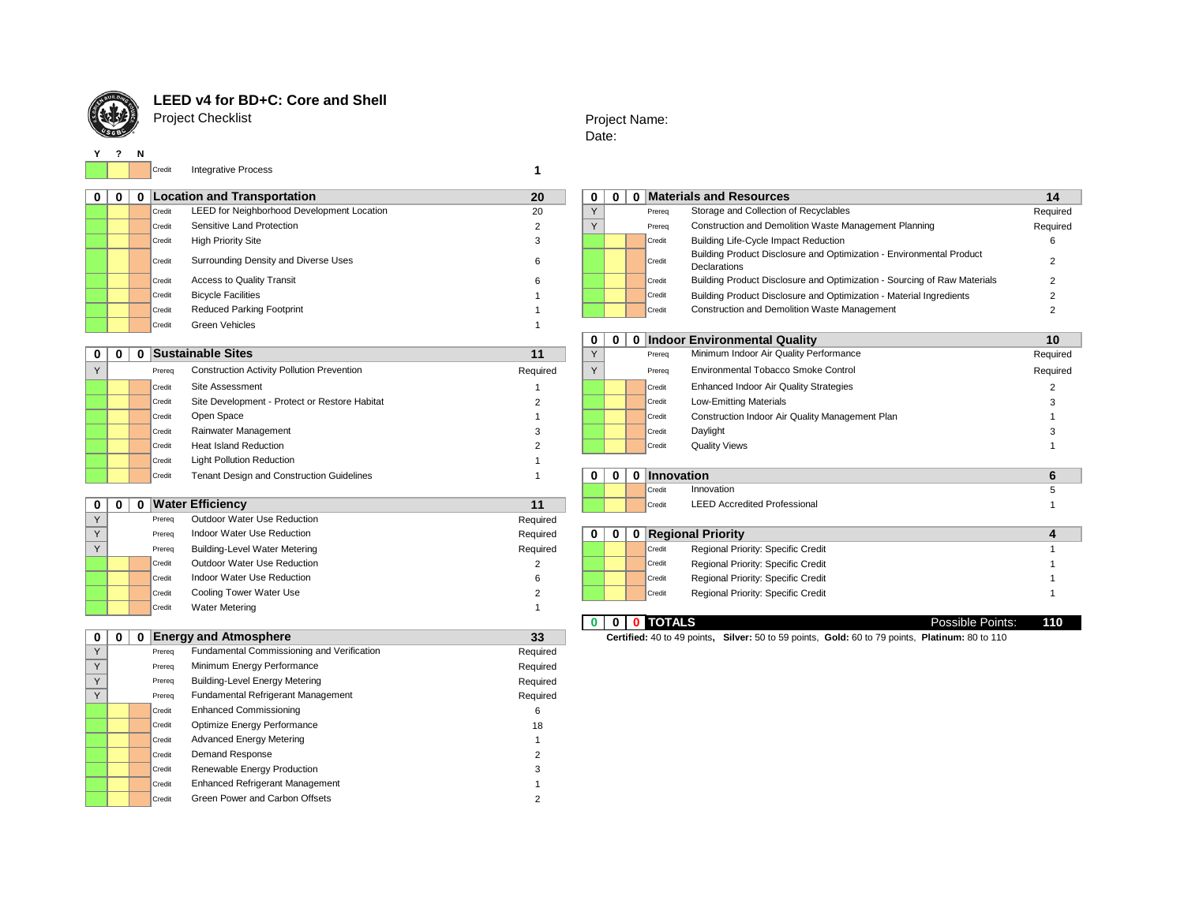

**Y ? N**

## **LEED v4 for BD+C: Core and Shell**

Project Checklist

## Project Name: Date:

Credit **1** Integrative Process

|        | <b>Location and Transportation</b>         | 20 | $\mathbf{0}$ |  | $\mathbf{0}$ |        | <b>Materials and Resources</b>                                                       |      |
|--------|--------------------------------------------|----|--------------|--|--------------|--------|--------------------------------------------------------------------------------------|------|
| Credit | LEED for Neighborhood Development Location | 20 |              |  |              | Prereg | Storage and Collection of Recyclables                                                | Requ |
| Credit | Sensitive Land Protection                  |    |              |  |              | Prereg | Construction and Demolition Waste Management Planning                                | Requ |
| Credit | <b>High Priority Site</b>                  | 3  |              |  |              | Credit | <b>Building Life-Cycle Impact Reduction</b>                                          |      |
| Credit | Surrounding Density and Diverse Uses       | 6  |              |  |              | Credit | Building Product Disclosure and Optimization - Environmental Product<br>Declarations |      |
| Credit | <b>Access to Quality Transit</b>           | 6  |              |  |              | Credit | Building Product Disclosure and Optimization - Sourcing of Raw Materials             |      |
| Credit | <b>Bicycle Facilities</b>                  |    |              |  |              | Credit | Building Product Disclosure and Optimization - Material Ingredients                  |      |
| Credit | <b>Reduced Parking Footprint</b>           |    |              |  |              | Credit | Construction and Demolition Waste Management                                         |      |
| Credit | Green Vehicles                             |    |              |  |              |        |                                                                                      |      |
|        |                                            |    |              |  |              |        |                                                                                      |      |

|  |        |                                                   | .        |              |  |              |                                                 | $.009$ and $0.00$ |
|--|--------|---------------------------------------------------|----------|--------------|--|--------------|-------------------------------------------------|-------------------|
|  | Prereg | <b>Construction Activity Pollution Prevention</b> | Required |              |  | Prereg       | Environmental Tobacco Smoke Control             | Required          |
|  | Credit | Site Assessment                                   |          |              |  | Credit       | <b>Enhanced Indoor Air Quality Strategies</b>   |                   |
|  | Credit | Site Development - Protect or Restore Habitat     |          |              |  | Credit       | <b>Low-Emitting Materials</b>                   |                   |
|  | Credit | Open Space                                        |          |              |  | Credit       | Construction Indoor Air Quality Management Plan |                   |
|  | Credit | Rainwater Management                              |          |              |  | l Credit     | Daylight                                        |                   |
|  | Credit | <b>Heat Island Reduction</b>                      |          |              |  | Credit       | <b>Quality Views</b>                            |                   |
|  | Credit | <b>Light Pollution Reduction</b>                  |          |              |  |              |                                                 |                   |
|  | Credit | Tenant Design and Construction Guidelines         |          | $\mathbf{0}$ |  | 0 Innovation |                                                 |                   |
|  |        |                                                   |          |              |  |              |                                                 |                   |

| $\sqrt{}$ | Prerea | Outdoor Water Use Reduction   | Required |              |  |        |                                    |  |
|-----------|--------|-------------------------------|----------|--------------|--|--------|------------------------------------|--|
| $\sqrt{}$ | Prereq | Indoor Water Use Reduction    | Required | $\mathbf{0}$ |  |        | <b>Regional Priority</b>           |  |
| $\sqrt{}$ | Prereq | Building-Level Water Metering | Required |              |  | Credit | Regional Priority: Specific Credit |  |
|           | Credit | Outdoor Water Use Reduction   |          |              |  | Credit | Regional Priority: Specific Credit |  |
|           | Credit | Indoor Water Use Reduction    |          |              |  | Credit | Regional Priority: Specific Credit |  |
|           | Credit | Cooling Tower Water Use       |          |              |  | Credit | Regional Priority: Specific Credit |  |
|           | Credit | <b>Water Metering</b>         |          |              |  |        |                                    |  |

## **O D** Energy and Atmosphere

| $\mathbf 0$ | $\mathbf 0$ | $\mathbf 0$ |        | <b>Energy and Atmosphere</b>               | 33       | Certified: 40 to 49 points, Silver: 50 to 59 points, Gold: 60 to 79 points, Platinum: 80 to 110 |  |  |
|-------------|-------------|-------------|--------|--------------------------------------------|----------|-------------------------------------------------------------------------------------------------|--|--|
| $\vee$      |             |             | Prereq | Fundamental Commissioning and Verification | Required |                                                                                                 |  |  |
| $\vee$      |             |             | Prereq | Minimum Energy Performance                 | Required |                                                                                                 |  |  |
|             |             |             | Prereq | <b>Building-Level Energy Metering</b>      | Required |                                                                                                 |  |  |
| $\vee$      |             |             | Prereq | Fundamental Refrigerant Management         | Required |                                                                                                 |  |  |
|             |             |             | Credit | <b>Enhanced Commissioning</b>              | 6        |                                                                                                 |  |  |
|             |             |             | Credit | Optimize Energy Performance                | 18       |                                                                                                 |  |  |
|             |             |             | Credit | <b>Advanced Energy Metering</b>            |          |                                                                                                 |  |  |
|             |             |             | Credit | Demand Response                            |          |                                                                                                 |  |  |
|             |             |             | Credit | Renewable Energy Production                |          |                                                                                                 |  |  |
|             |             |             | Credit | <b>Enhanced Refrigerant Management</b>     |          |                                                                                                 |  |  |
|             |             |             | Credit | Green Power and Carbon Offsets             |          |                                                                                                 |  |  |

| 01 | $\mathbf{0}$ |        | <b>Location and Transportation</b>         | 20 | 0 | n |  |        | 0 Materials and Resources                                                            | 14       |
|----|--------------|--------|--------------------------------------------|----|---|---|--|--------|--------------------------------------------------------------------------------------|----------|
|    |              | Credit | LEED for Neighborhood Development Location | 20 |   |   |  | Prereg | Storage and Collection of Recyclables                                                | Required |
|    |              | Credit | Sensitive Land Protection                  |    |   |   |  | Prereg | Construction and Demolition Waste Management Planning                                | Required |
|    |              | Credit | <b>High Priority Site</b>                  |    |   |   |  | Credit | <b>Building Life-Cycle Impact Reduction</b>                                          |          |
|    |              | Credit | Surrounding Density and Diverse Uses       |    |   |   |  | Credit | Building Product Disclosure and Optimization - Environmental Product<br>Declarations |          |
|    |              | Credit | <b>Access to Quality Transit</b>           |    |   |   |  | Credit | Building Product Disclosure and Optimization - Sourcing of Raw Materials             |          |
|    |              | Credit | <b>Bicycle Facilities</b>                  |    |   |   |  | Credit | Building Product Disclosure and Optimization - Material Ingredients                  |          |
|    |              | Credit | <b>Reduced Parking Footprint</b>           |    |   |   |  | Credit | <b>Construction and Demolition Waste Management</b>                                  |          |

|  |        |                                                   |          | $\bf{0}$ | 0 Indoor Environmental Quality<br>$\mathbf 0$ |  |        |                                                 | 10       |
|--|--------|---------------------------------------------------|----------|----------|-----------------------------------------------|--|--------|-------------------------------------------------|----------|
|  |        | <b>Sustainable Sites</b>                          | 11       |          |                                               |  | Prereq | Minimum Indoor Air Quality Performance          | Required |
|  | Prereq | <b>Construction Activity Pollution Prevention</b> | Required |          |                                               |  | Prereq | Environmental Tobacco Smoke Control             | Required |
|  | Credit | Site Assessment                                   |          |          |                                               |  | Credit | <b>Enhanced Indoor Air Quality Strategies</b>   |          |
|  | Credit | Site Development - Protect or Restore Habitat     |          |          |                                               |  | Credit | <b>Low-Emitting Materials</b>                   |          |
|  | Credit | Open Space                                        |          |          |                                               |  | Credit | Construction Indoor Air Quality Management Plan |          |
|  | Credit | Rainwater Management                              |          |          |                                               |  | Credit | Daylight                                        |          |
|  | Credit | <b>Heat Island Reduction</b>                      |          |          |                                               |  | Credit | <b>Quality Views</b>                            |          |
|  |        |                                                   |          |          |                                               |  |        |                                                 |          |

|                 | <b>Tenant Design and Construction Guidelines</b><br>Credit | 0 | 0 | <b>Innovation</b>                            |  |
|-----------------|------------------------------------------------------------|---|---|----------------------------------------------|--|
|                 |                                                            |   |   | Credi<br>Innovation                          |  |
| $0 \mid 0 \mid$ | <b>Water Efficiency</b>                                    |   |   | <b>LEED Accredited Professional</b><br>Credi |  |

## The Regional Priority: Specific Credit Australian Metering Regional Priority: Specific Credit 1 Credit Regional Priority: Specific Credit 1 |<br>|Credit Regional Priority: Specific Credit 1 Credit Regional Priority: Specific Credit 1

**0 0 0 TOTALS** Possible Points: **110**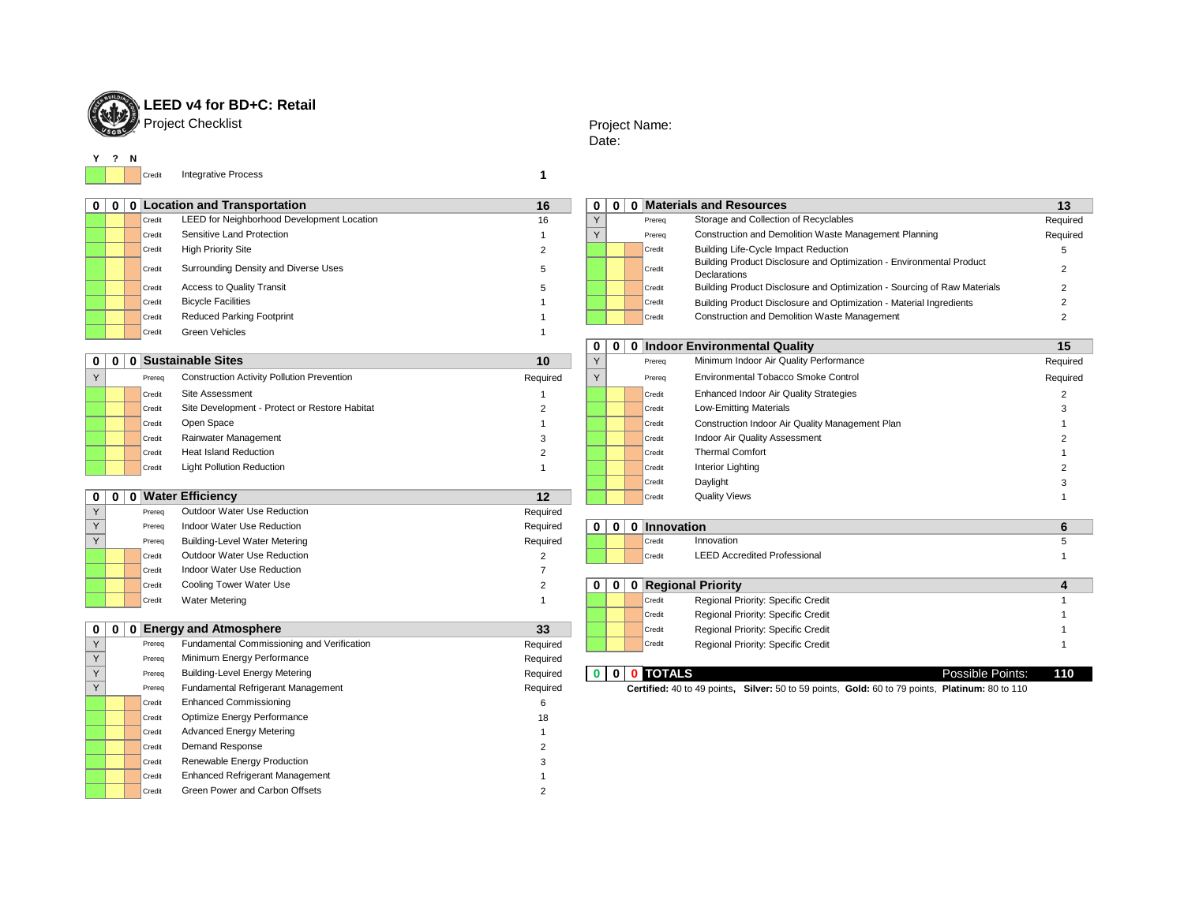

# **LEED v4 for BD+C: Retail**

## Project Name: Date:

**Y ? N**

Credit **1** Integrative Process

|           | <b>Location and Transportation</b>         |
|-----------|--------------------------------------------|
| Credit    | LEED for Neighborhood Development Location |
| Credit    | Sensitive Land Protection                  |
| Credit    | <b>High Priority Site</b>                  |
| Credit    | Surrounding Density and Diverse Uses       |
| Credit    | <b>Access to Quality Transit</b>           |
| Credit    | <b>Bicycle Facilities</b>                  |
| $0 - 114$ | <b>Doduced Derking Footprint</b>           |

|               | 0 | 0 | N              |
|---------------|---|---|----------------|
| $\frac{0}{Y}$ |   |   | Pr             |
| Ý             |   |   | Pr             |
|               |   |   | Cr             |
|               |   |   | Cr             |
|               |   |   |                |
|               |   |   | Cr<br>Cr<br>Cr |
|               |   |   |                |
|               |   |   |                |

| ∣ 0 ו | 0 Location and Transportation<br>16                  |    |  |  |  | 0 Materials and Resources<br>0<br>0 |                                                                                      |          |
|-------|------------------------------------------------------|----|--|--|--|-------------------------------------|--------------------------------------------------------------------------------------|----------|
|       | LEED for Neighborhood Development Location<br>Credit | 16 |  |  |  | Prereg                              | Storage and Collection of Recyclables                                                | Required |
|       | Sensitive Land Protection<br>Credit                  |    |  |  |  | Prereq                              | Construction and Demolition Waste Management Planning                                | Required |
|       | <b>High Priority Site</b><br>Credit                  |    |  |  |  | Credit                              | <b>Building Life-Cycle Impact Reduction</b>                                          |          |
|       | Surrounding Density and Diverse Uses<br>Credit       |    |  |  |  | Credit                              | Building Product Disclosure and Optimization - Environmental Product<br>Declarations |          |
|       | <b>Access to Quality Transit</b><br>Credit           |    |  |  |  | Credit                              | Building Product Disclosure and Optimization - Sourcing of Raw Materials             |          |
|       | <b>Bicycle Facilities</b><br>Credit                  |    |  |  |  | Credit                              | Building Product Disclosure and Optimization - Material Ingredients                  |          |
|       | <b>Reduced Parking Footprint</b><br>Credit           |    |  |  |  | Credit                              | <b>Construction and Demolition Waste Management</b>                                  |          |

|    |               | 0 | 0 | I            |
|----|---------------|---|---|--------------|
|    | $\frac{0}{Y}$ |   |   | P            |
| ed | Y             |   |   | P            |
|    |               |   |   | $\mathbf{c}$ |
|    |               |   |   | c<br>c<br>c  |
|    |               |   |   |              |
|    |               |   |   |              |
|    |               |   |   | $\mathbf{c}$ |
|    |               |   |   | $\mathbf{c}$ |
|    |               |   |   | c<br>c       |
|    |               |   |   |              |
| L. |               |   |   |              |

| 0            | 0 |        | <b>Indoor Environmental Quality</b>             | 15       |
|--------------|---|--------|-------------------------------------------------|----------|
| Y            |   | Prerea | Minimum Indoor Air Quality Performance          | Required |
| $\checkmark$ |   | Prerea | Environmental Tobacco Smoke Control             | Required |
|              |   | Credit | <b>Enhanced Indoor Air Quality Strategies</b>   | 2        |
|              |   | Credit | <b>Low-Emitting Materials</b>                   | 3        |
|              |   | Credit | Construction Indoor Air Quality Management Plan |          |
|              |   | Credit | Indoor Air Quality Assessment                   | 2        |
|              |   | Credit | <b>Thermal Comfort</b>                          |          |
|              |   | Credit | Interior Lighting                               | 2        |
|              |   | Credit | Daylight                                        | 3        |
|              |   | Credit | <b>Quality Views</b>                            |          |

|  |        |                                            | 119991199 |   |   |                                               |  |
|--|--------|--------------------------------------------|-----------|---|---|-----------------------------------------------|--|
|  | Prereq | Indoor Water Use Reduction                 | Required  | 0 | 0 | 0 Innovation                                  |  |
|  | Prereq | <b>Building-Level Water Metering</b>       | Required  |   |   | Innovation<br>Credit                          |  |
|  | Credit | Outdoor Water Use Reduction                |           |   |   | <b>LEED Accredited Professional</b><br>Credit |  |
|  | Credit | Indoor Water Use Reduction                 |           |   |   |                                               |  |
|  | Credit | Cooling Tower Water Use                    |           | 0 | 0 | 0 Regional Priority                           |  |
|  | Credit | <b>Water Metering</b>                      |           |   |   | Regional Priority: Specific Credit<br>Credit  |  |
|  |        |                                            |           |   |   | Regional Priority: Specific Credit<br>Credit  |  |
|  |        | $0 \mid 0 \mid 0$ Energy and Atmosphere    | 33        |   |   | Regional Priority: Specific Credit<br>Credit  |  |
|  | Prereg | Fundamental Commissioning and Verification | Required  |   |   | Regional Priority: Specific Credit<br>Credit  |  |
|  | Proron | Minimum Energy Performance                 | Required  |   |   |                                               |  |

| Prerec | <b>Building-Level Energy Metering</b> | Required | <b>TOTALS</b><br>$\mathbf{0}$<br>$\mathbf{0}$ | Possible Points:                                                           | 110 |
|--------|---------------------------------------|----------|-----------------------------------------------|----------------------------------------------------------------------------|-----|
| Prereq | Fundamental Refrigerant Management    | Required | Certified: 40 to 49 points.                   | <b>Silver:</b> 50 to 59 points, Gold: 60 to 79 points, Platinum: 80 to 110 |     |

|  |        |                                                   |          |  |        | <u>V INNOVI ENTRIVINIVINGI WAANTI</u>           | . .      |
|--|--------|---------------------------------------------------|----------|--|--------|-------------------------------------------------|----------|
|  |        | 0   0   0   Sustainable Sites                     | 10       |  | Prereq | Minimum Indoor Air Quality Performance          | Required |
|  | Prereq | <b>Construction Activity Pollution Prevention</b> | Required |  | Prereq | Environmental Tobacco Smoke Control             | Required |
|  | Credit | Site Assessment                                   |          |  | Credit | Enhanced Indoor Air Quality Strategies          |          |
|  | Credit | Site Development - Protect or Restore Habitat     |          |  | Credit | Low-Emitting Materials                          |          |
|  | Credit | Open Space                                        |          |  | Credit | Construction Indoor Air Quality Management Plan |          |
|  | Credit | Rainwater Management                              |          |  | Credit | Indoor Air Quality Assessment                   |          |
|  | Credit | <b>Heat Island Reduction</b>                      |          |  | Credit | <b>Thermal Comfort</b>                          |          |
|  | Credit | <b>Light Pollution Reduction</b>                  |          |  | Credit | Interior Lighting                               |          |
|  |        |                                                   |          |  | Credit | Daylight                                        |          |

**Constituents** Creen Vehicles **1 Constituents** 1

|     | 0   0 |        | 0 Water Efficiency                   | 12       |              |  | Credit | <b>Quality Views</b>                |  |
|-----|-------|--------|--------------------------------------|----------|--------------|--|--------|-------------------------------------|--|
| v.  |       | Prereq | Outdoor Water Use Reduction          | Required |              |  |        |                                     |  |
|     |       | Prerea | Indoor Water Use Reduction           | Required | 0            |  |        | 0 0 Innovation                      |  |
| Y i |       | Prereq | <b>Building-Level Water Metering</b> | Required |              |  | Credit | Innovation                          |  |
|     |       | Credit | Outdoor Water Use Reduction          |          |              |  | Credit | <b>LEED Accredited Professional</b> |  |
|     |       | Credit | Indoor Water Use Reduction           |          |              |  |        |                                     |  |
|     |       | Credit | Cooling Tower Water Use              |          | $\mathbf{0}$ |  |        | 0   0   Regional Priority           |  |
|     |       | Credit | <b>Water Metering</b>                |          |              |  | Credit | Regional Priority: Specific Credit  |  |
|     |       |        |                                      |          |              |  |        |                                     |  |

## **Energy and Atmosphere**

|  | Prereq | Fundamental Commissioning and Verification | Required | Regional Priority: Specific Credit<br>Credit                                                    |                         |
|--|--------|--------------------------------------------|----------|-------------------------------------------------------------------------------------------------|-------------------------|
|  | Prereq | Minimum Energy Performance                 | Required |                                                                                                 |                         |
|  | Prereq | <b>Building-Level Energy Metering</b>      | Required | <b>TOTALS</b><br>$\bf{0}$                                                                       | <b>Possible Points:</b> |
|  | Prereq | Fundamental Refrigerant Management         | Required | Certified: 40 to 49 points, Silver: 50 to 59 points, Gold: 60 to 79 points, Platinum: 80 to 110 |                         |
|  | Credit | <b>Enhanced Commissioning</b>              |          |                                                                                                 |                         |
|  | Credit | Optimize Energy Performance                | 18       |                                                                                                 |                         |
|  | Credit | <b>Advanced Energy Metering</b>            |          |                                                                                                 |                         |
|  | Credit | Demand Response                            |          |                                                                                                 |                         |
|  | Credit | Renewable Energy Production                |          |                                                                                                 |                         |
|  | Credit | <b>Enhanced Refrigerant Management</b>     |          |                                                                                                 |                         |
|  | Credit | Green Power and Carbon Offsets             |          |                                                                                                 |                         |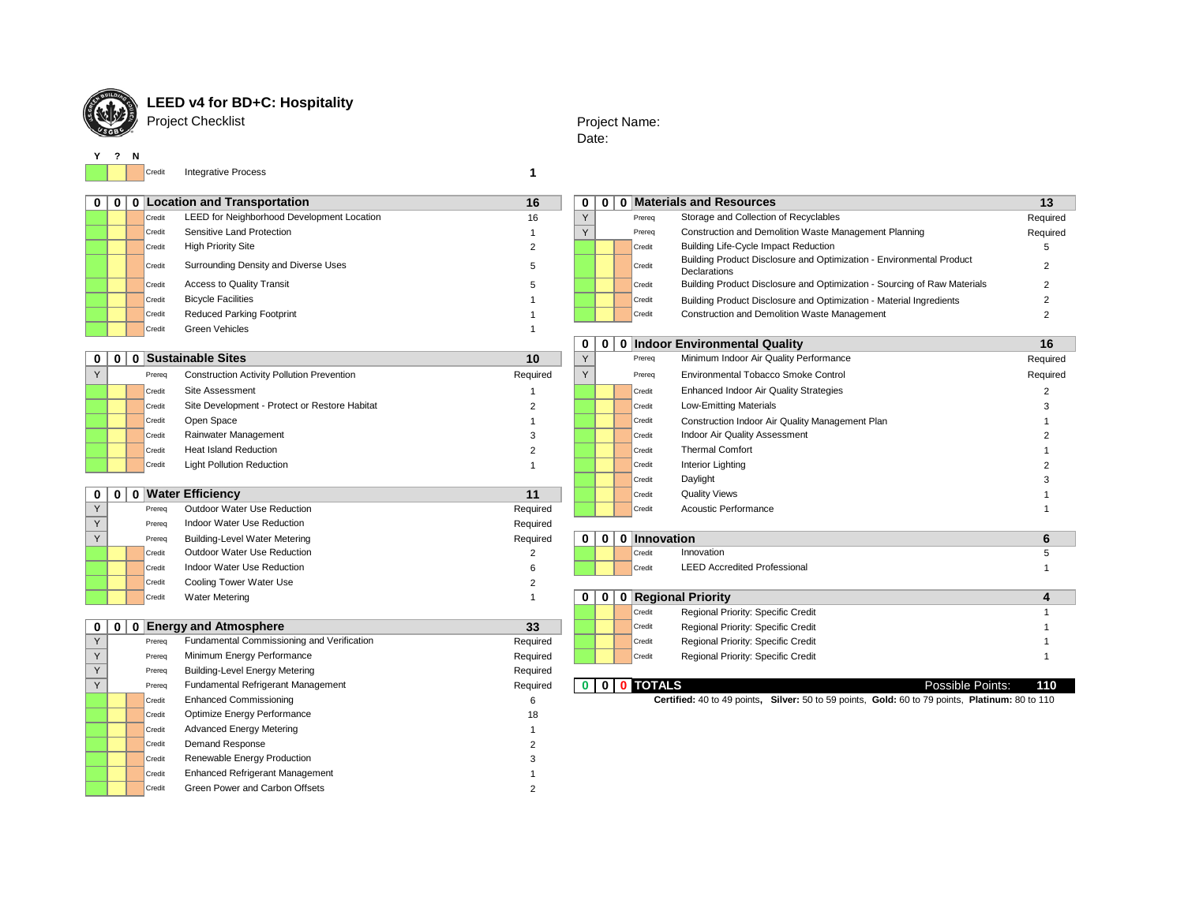

## **LEED v4 for BD+C: Hospitality**

Project Checklist

## Project Name: Date:

**Y ? N**

Credit **1** Integrative Process

| $\mathbf 0$ |                |        | 0 0 Location and Transportation                   | 16                       | 0 | 0 <sup>1</sup> |              | 0 Materials and Resources                                                                       | 13             |
|-------------|----------------|--------|---------------------------------------------------|--------------------------|---|----------------|--------------|-------------------------------------------------------------------------------------------------|----------------|
|             |                | Credit | LEED for Neighborhood Development Location        | 16                       | Y |                | Prereq       | Storage and Collection of Recyclables                                                           | Required       |
|             |                | Credit | Sensitive Land Protection                         | $\overline{\phantom{a}}$ | Y |                | Prereq       | Construction and Demolition Waste Management Planning                                           | Required       |
|             |                | Credit | <b>High Priority Site</b>                         | $\overline{2}$           |   |                | Credit       | <b>Building Life-Cycle Impact Reduction</b>                                                     | 5              |
|             |                | Credit | Surrounding Density and Diverse Uses              | 5                        |   |                | Credit       | Building Product Disclosure and Optimization - Environmental Product<br>Declarations            | $\overline{2}$ |
|             |                | Credit | <b>Access to Quality Transit</b>                  | 5                        |   |                | Credit       | Building Product Disclosure and Optimization - Sourcing of Raw Materials                        | $\overline{2}$ |
|             |                | Credit | <b>Bicycle Facilities</b>                         |                          |   |                | Credit       | Building Product Disclosure and Optimization - Material Ingredients                             | $\overline{2}$ |
|             |                | Credit | <b>Reduced Parking Footprint</b>                  |                          |   |                | Credit       | Construction and Demolition Waste Management                                                    | $\overline{2}$ |
|             |                | Credit | <b>Green Vehicles</b>                             | $\overline{\phantom{a}}$ |   |                |              |                                                                                                 |                |
|             |                |        |                                                   |                          | 0 | $\mathbf{0}$   |              | 0 Indoor Environmental Quality                                                                  | 16             |
| 0           |                |        | 0 0 Sustainable Sites                             | 10                       | Y |                | Prereq       | Minimum Indoor Air Quality Performance                                                          | Required       |
| Y           |                | Prereq | <b>Construction Activity Pollution Prevention</b> | Required                 | Y |                | Prereq       | Environmental Tobacco Smoke Control                                                             | Required       |
|             |                | Credit | Site Assessment                                   |                          |   |                | Credit       | Enhanced Indoor Air Quality Strategies                                                          | $\overline{2}$ |
|             |                | Credit | Site Development - Protect or Restore Habitat     | $\overline{2}$           |   |                | Credit       | <b>Low-Emitting Materials</b>                                                                   | 3              |
|             |                | Credit | Open Space                                        |                          |   |                | Credit       | Construction Indoor Air Quality Management Plan                                                 |                |
|             |                | Credit | Rainwater Management                              | 3                        |   |                | Credit       | Indoor Air Quality Assessment                                                                   |                |
|             |                | Credit | <b>Heat Island Reduction</b>                      | 2                        |   |                | Credit       | <b>Thermal Comfort</b>                                                                          |                |
|             |                | Credit | <b>Light Pollution Reduction</b>                  | $\overline{1}$           |   |                | Credit       | <b>Interior Lighting</b>                                                                        |                |
|             |                |        |                                                   |                          |   |                | Credit       | Daylight                                                                                        |                |
| 0           | 0 <sup>1</sup> |        | 0 Water Efficiency                                | 11                       |   |                | Credit       | <b>Quality Views</b>                                                                            |                |
| Y           |                | Prereq | Outdoor Water Use Reduction                       | Required                 |   |                | Credit       | Acoustic Performance                                                                            |                |
| Y           |                | Prereq | Indoor Water Use Reduction                        | Required                 |   |                |              |                                                                                                 |                |
| Y           |                | Prereq | <b>Building-Level Water Metering</b>              | Required                 | 0 | O              | 0 Innovation |                                                                                                 | 6              |
|             |                | Credit | Outdoor Water Use Reduction                       | 2                        |   |                | Credit       | Innovation                                                                                      | 5              |
|             |                | Credit | Indoor Water Use Reduction                        | 6                        |   |                | Credit       | <b>LEED Accredited Professional</b>                                                             |                |
|             |                | Credit | Cooling Tower Water Use                           | 2                        |   |                |              |                                                                                                 |                |
|             |                | Credit | <b>Water Metering</b>                             | $\overline{1}$           | 0 | O              |              | 0 Regional Priority                                                                             | 4              |
|             |                |        |                                                   |                          |   |                | Credit       | Regional Priority: Specific Credit                                                              |                |
| 0           | $\mathbf{0}$   |        | 0 Energy and Atmosphere                           | 33                       |   |                | Credit       | Regional Priority: Specific Credit                                                              |                |
| Y           |                | Prereq | Fundamental Commissioning and Verification        | Required                 |   |                | Credit       | Regional Priority: Specific Credit                                                              |                |
| Y           |                | Prereq | Minimum Energy Performance                        | Required                 |   |                | Credit       | Regional Priority: Specific Credit                                                              |                |
| Y           |                | Prereq | <b>Building-Level Energy Metering</b>             | Required                 |   |                |              |                                                                                                 |                |
| Y           |                | Prereq | Fundamental Refrigerant Management                | Required                 |   |                | 0 0 0 TOTALS | Possible Points:                                                                                | 110            |
|             |                | Credit | <b>Enhanced Commissioning</b>                     | 6                        |   |                |              | Certified: 40 to 49 points, Silver: 50 to 59 points, Gold: 60 to 79 points, Platinum: 80 to 110 |                |
|             |                | Credit | Optimize Energy Performance                       | 18                       |   |                |              |                                                                                                 |                |
|             |                | Credit | <b>Advanced Energy Metering</b>                   |                          |   |                |              |                                                                                                 |                |
|             |                | Credit | Demand Response                                   |                          |   |                |              |                                                                                                 |                |
|             |                | Credit | Renewable Energy Production                       |                          |   |                |              |                                                                                                 |                |
|             |                | Credit | <b>Enhanced Refrigerant Management</b>            |                          |   |                |              |                                                                                                 |                |
|             |                | Credit | Green Power and Carbon Offsets                    |                          |   |                |              |                                                                                                 |                |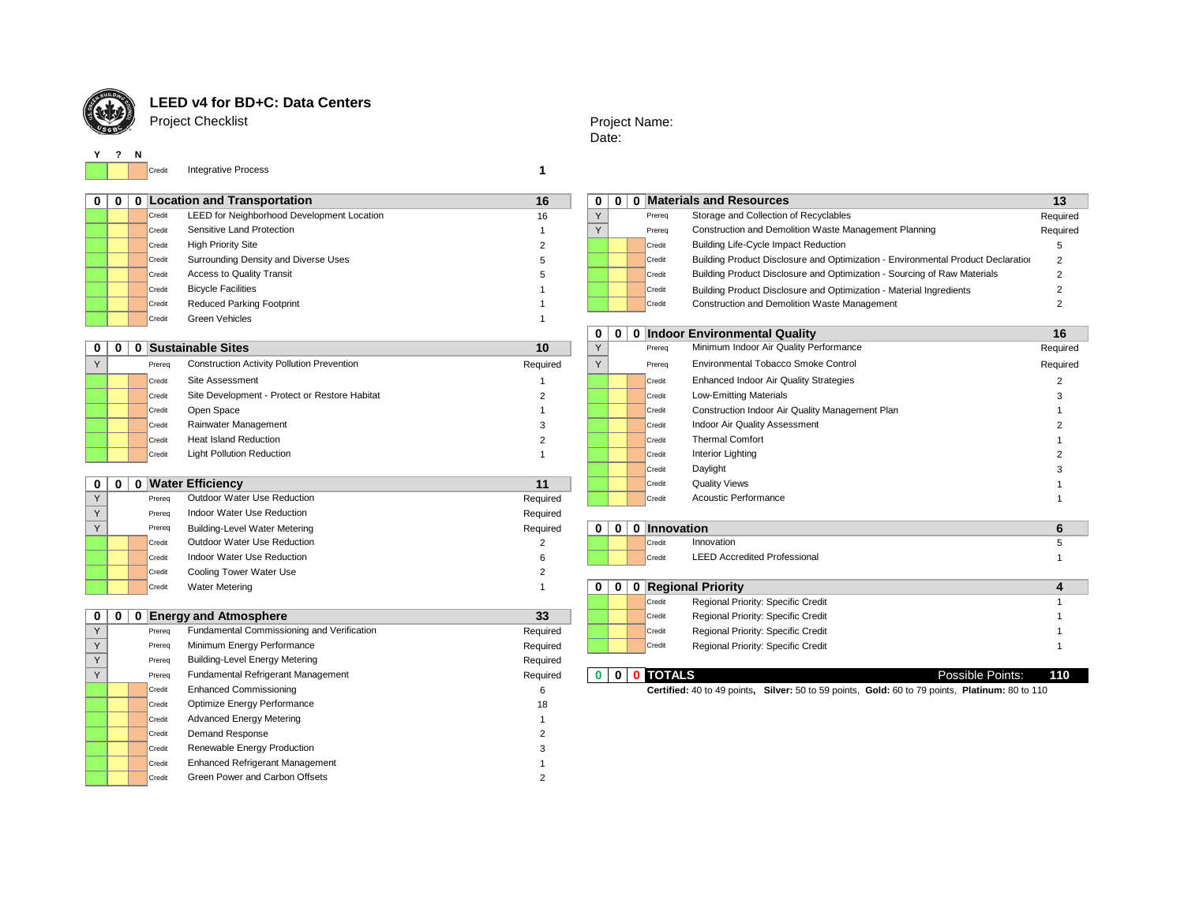

# **LEED v4 for BD+C: Data Centers**

Project Checklist

## Project Name: Date:

**Y ? N**

Credit **1** Integrative Process

| . റ |        | 0 Location and Transportation              | 16 | 0 | $\mathbf{0}$ | n |        | <b>Materials and Resources</b>                                                   | 13    |
|-----|--------|--------------------------------------------|----|---|--------------|---|--------|----------------------------------------------------------------------------------|-------|
|     | Credit | LEED for Neighborhood Development Location | 16 |   |              |   | Prerea | Storage and Collection of Recyclables                                            | Requi |
|     | Credit | Sensitive Land Protection                  |    |   |              |   | Prerea | Construction and Demolition Waste Management Planning                            | Requi |
|     | Credit | <b>High Priority Site</b>                  |    |   |              |   | Credit | <b>Building Life-Cycle Impact Reduction</b>                                      |       |
|     | Credit | Surrounding Density and Diverse Uses       |    |   |              |   | Credit | Building Product Disclosure and Optimization - Environmental Product Declaration | 2     |
|     | Credit | <b>Access to Quality Transit</b>           |    |   |              |   | Credit | Building Product Disclosure and Optimization - Sourcing of Raw Materials         |       |
|     | Credit | <b>Bicycle Facilities</b>                  |    |   |              |   | Credit | Building Product Disclosure and Optimization - Material Ingredients              |       |
|     | Credit | <b>Reduced Parking Footprint</b>           |    |   |              |   | Credit | <b>Construction and Demolition Waste Management</b>                              |       |
|     | Credit | Green Vehicles                             |    |   |              |   |        |                                                                                  |       |

|        | Location and Transportation<br>16          |    |  |  |  |               | <u>u imateriais and Resources</u>                                                | 13       |
|--------|--------------------------------------------|----|--|--|--|---------------|----------------------------------------------------------------------------------|----------|
| Credit | LEED for Neighborhood Development Location | 16 |  |  |  | Prerea        | Storage and Collection of Recyclables                                            | Required |
| Credit | Sensitive Land Protection                  |    |  |  |  | Prereq        | Construction and Demolition Waste Management Planning                            | Required |
| Credit | <b>High Priority Site</b>                  |    |  |  |  | Credit        | <b>Building Life-Cycle Impact Reduction</b>                                      |          |
| Credit | Surrounding Density and Diverse Uses       |    |  |  |  | Credit        | Building Product Disclosure and Optimization - Environmental Product Declaration |          |
| Credit | <b>Access to Quality Transit</b>           |    |  |  |  | <b>Credit</b> | Building Product Disclosure and Optimization - Sourcing of Raw Materials         |          |
| Credit | <b>Bicycle Facilities</b>                  |    |  |  |  | Credit        | Building Product Disclosure and Optimization - Material Ingredients              |          |
| Credit | <b>Reduced Parking Footprint</b>           |    |  |  |  | Credit        | Construction and Demolition Waste Management                                     |          |

|       |        |                                                   |          | v.           | U. |        | <b>Indoor Environmental Quality</b>             | 10.      |
|-------|--------|---------------------------------------------------|----------|--------------|----|--------|-------------------------------------------------|----------|
| 0   0 |        | <b>Sustainable Sites</b>                          | 10       | $\vee$       |    | Prereq | Minimum Indoor Air Quality Performance          | Required |
|       | Prereg | <b>Construction Activity Pollution Prevention</b> | Required | $\checkmark$ |    | Prerea | Environmental Tobacco Smoke Control             | Required |
|       | Credit | Site Assessment                                   |          |              |    | Credit | Enhanced Indoor Air Quality Strategies          |          |
|       | Credit | Site Development - Protect or Restore Habitat     |          |              |    | Credit | <b>Low-Emitting Materials</b>                   |          |
|       | Credit | Open Space                                        |          |              |    | Credit | Construction Indoor Air Quality Management Plan |          |
|       | Credit | Rainwater Management                              |          |              |    | Credit | Indoor Air Quality Assessment                   |          |
|       | Credit | <b>Heat Island Reduction</b>                      |          |              |    | Credit | <b>Thermal Comfort</b>                          |          |
|       | Credit | <b>Light Pollution Reduction</b>                  |          |              |    | Credit | <b>Interior Lighting</b>                        |          |
|       |        |                                                   |          |              |    |        | <b>B.P.L.</b>                                   |          |

|  |  |  | $0 \mid 0 \mid 0$ Water Efficie |  |
|--|--|--|---------------------------------|--|
|--|--|--|---------------------------------|--|

| $0 \mid 0$ |        | 0 Water Efficiency                   | 11       |          |              |              | <b>Quality Views</b><br>Credit                |  |
|------------|--------|--------------------------------------|----------|----------|--------------|--------------|-----------------------------------------------|--|
|            | Prereg | Outdoor Water Use Reduction          | Required |          |              |              | Acoustic Performance<br>Credit                |  |
|            | Prereg | Indoor Water Use Reduction           | Required |          |              |              |                                               |  |
|            | Prereq | <b>Building-Level Water Metering</b> | Required | $\Omega$ | $\bf{0}$     | $\mathbf{0}$ | Innovation                                    |  |
|            | Credit | Outdoor Water Use Reduction          |          |          |              |              | Innovation<br>Credit                          |  |
|            | Credit | Indoor Water Use Reduction           |          |          |              |              | <b>LEED Accredited Professional</b><br>Credit |  |
|            | Credit | Cooling Tower Water Use              |          |          |              |              |                                               |  |
|            | Credit | <b>Water Metering</b>                |          | $\bf{0}$ | $\mathbf{0}$ |              | 0 Regional Priority                           |  |

| Y | Prereq | Fundamental Commissioning and Verification | Required |  | Credit        | Regional Priority: Specific Credit                                                              |                  |     |
|---|--------|--------------------------------------------|----------|--|---------------|-------------------------------------------------------------------------------------------------|------------------|-----|
| Y | Prereq | Minimum Energy Performance                 | Required |  | Credit        | Regional Priority: Specific Credit                                                              |                  |     |
| Y | Prereq | <b>Building-Level Energy Metering</b>      | Required |  |               |                                                                                                 |                  |     |
| Y | Prereq | Fundamental Refrigerant Management         | Required |  | <b>TOTALS</b> |                                                                                                 | Possible Points: | 110 |
|   | Credit | <b>Enhanced Commissioning</b>              | ь        |  |               | Certified: 40 to 49 points, Silver: 50 to 59 points, Gold: 60 to 79 points, Platinum: 80 to 110 |                  |     |
|   | Credit | Optimize Energy Performance                | 18       |  |               |                                                                                                 |                  |     |
|   | Credit | <b>Advanced Energy Metering</b>            |          |  |               |                                                                                                 |                  |     |
|   | Credit | Demand Response                            |          |  |               |                                                                                                 |                  |     |
|   | Credit | Renewable Energy Production                |          |  |               |                                                                                                 |                  |     |
|   | Credit | <b>Enhanced Refrigerant Management</b>     |          |  |               |                                                                                                 |                  |     |
|   | Credit | Green Power and Carbon Offsets             |          |  |               |                                                                                                 |                  |     |

| 0 | 0 | 0 Indo |
|---|---|--------|
| Y |   | Prereq |
| Y |   | Prereq |
|   |   | Credit |
|   |   | Credit |
|   |   | Credit |
|   |   | Credit |
|   |   | Credit |
|   |   | Credit |
|   |   | Credit |
|   |   | Credit |
|   |   | Credit |

| 0 |        |                                                 | 16                                  |
|---|--------|-------------------------------------------------|-------------------------------------|
|   | Prerea | Minimum Indoor Air Quality Performance          | Required                            |
|   | Prerea | Environmental Tobacco Smoke Control             | Required                            |
|   | Credit | Enhanced Indoor Air Quality Strategies          | 2                                   |
|   | Credit | <b>Low-Emitting Materials</b>                   | 3                                   |
|   | Credit | Construction Indoor Air Quality Management Plan |                                     |
|   | Credit | Indoor Air Quality Assessment                   | 2                                   |
|   | Credit | <b>Thermal Comfort</b>                          |                                     |
|   | Credit | Interior Lighting                               | 2                                   |
|   | Credit | Daylight                                        | 3                                   |
|   | Credit | <b>Quality Views</b>                            |                                     |
|   | Credit | Acoustic Performance                            |                                     |
|   |        |                                                 | <b>Indoor Environmental Quality</b> |

|    |   | Prereq | <b>Building-Level Water Metering</b>       | Required | 0 | $\bf{0}$    | <b>Innovation</b>                             |  |
|----|---|--------|--------------------------------------------|----------|---|-------------|-----------------------------------------------|--|
|    |   | Credit | Outdoor Water Use Reduction                |          |   |             | Innovation<br>Credit                          |  |
|    |   | Credit | Indoor Water Use Reduction                 |          |   |             | <b>LEED Accredited Professional</b><br>Credit |  |
|    |   | Credit | Cooling Tower Water Use                    |          |   |             |                                               |  |
|    |   | Credit | <b>Water Metering</b>                      |          | 0 | $\mathbf 0$ | 0 Regional Priority                           |  |
|    |   |        |                                            |          |   |             | Regional Priority: Specific Credit<br>Credit  |  |
| 00 | 0 |        | <b>Energy and Atmosphere</b>               | 33       |   |             | Regional Priority: Specific Credit<br>Credit  |  |
|    |   | Prereq | Fundamental Commissioning and Verification | Required |   |             | Regional Priority: Specific Credit<br>Credit  |  |
|    |   | Prereg | Minimum Energy Performance                 | Required |   |             | Regional Priority: Specific Credit<br>Credit  |  |
|    |   | Prereg | Building-Level Energy Metering             | Required |   |             |                                               |  |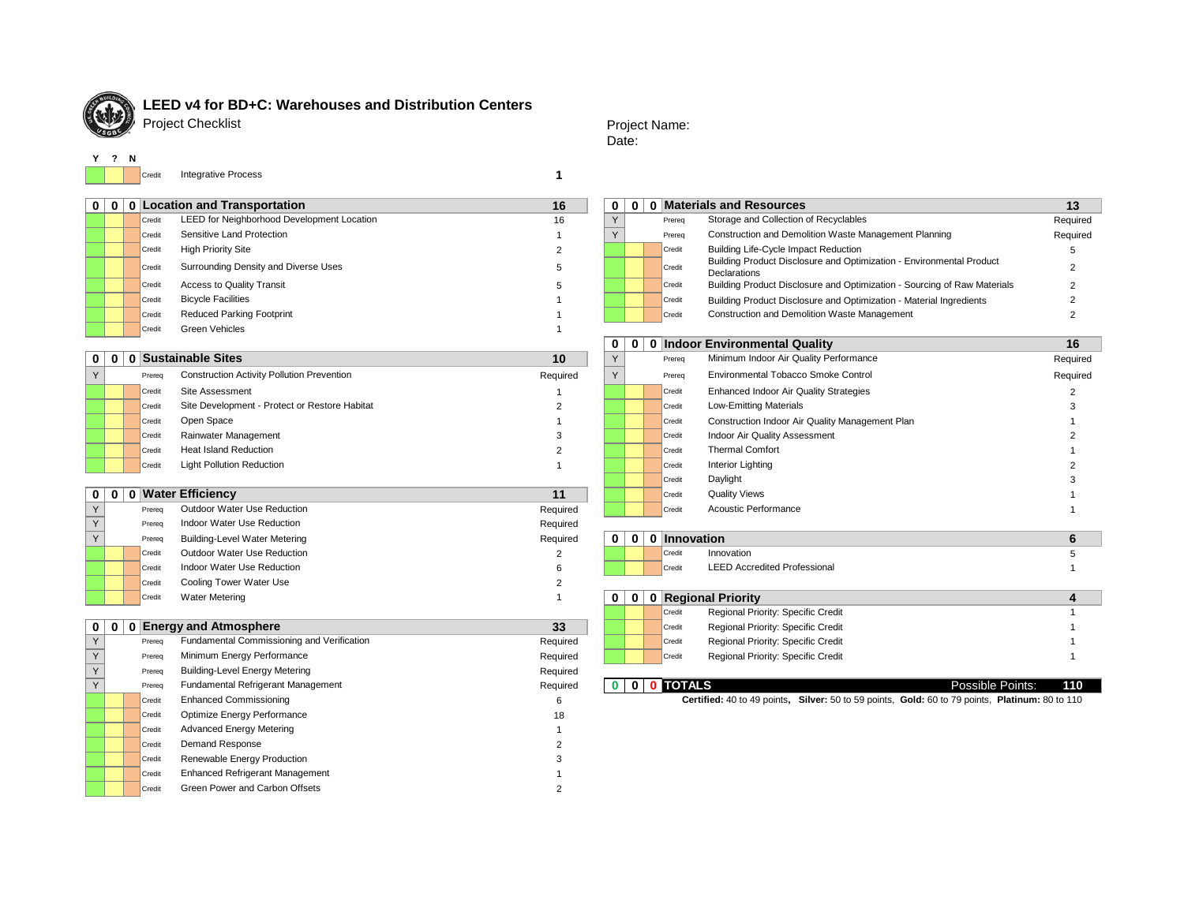

# **LEED v4 for BD+C: Warehouses and Distribution Centers**

Project Checklist

Credit **1** Integrative Process

| 00 | 0 Location and Transportation                        | 16 | $\mathbf 0$ | 0 <sup>1</sup> | 0 Materials and Resources |                                                                                      |          |
|----|------------------------------------------------------|----|-------------|----------------|---------------------------|--------------------------------------------------------------------------------------|----------|
|    | LEED for Neighborhood Development Location<br>Credit | 16 |             |                | Prereg                    | Storage and Collection of Recyclables                                                | Requi    |
|    | Sensitive Land Protection<br>Credit                  |    |             |                | Prereg                    | Construction and Demolition Waste Management Planning                                | Requi    |
|    | <b>High Priority Site</b><br>Credit                  |    |             |                | Credit                    | Building Life-Cycle Impact Reduction                                                 |          |
|    | Surrounding Density and Diverse Uses<br>Credit       |    |             |                | Credit                    | Building Product Disclosure and Optimization - Environmental Product<br>Declarations |          |
|    | <b>Access to Quality Transit</b><br>Credit           |    |             |                | Credit                    | Building Product Disclosure and Optimization - Sourcing of Raw Materials             | $\Omega$ |
|    | <b>Bicycle Facilities</b><br>Credit                  |    |             |                | Credit                    | Building Product Disclosure and Optimization - Material Ingredients                  |          |
|    | <b>Reduced Parking Footprint</b><br>Credit           |    |             |                | Credit                    | Construction and Demolition Waste Management                                         |          |
|    | Green Vehicles<br>Credit                             |    |             |                |                           |                                                                                      |          |

|  |        |                                                   |          | ◡ |  |        | V INGOVI ENTRIVINGINGI QUUNT                    | . .      |
|--|--------|---------------------------------------------------|----------|---|--|--------|-------------------------------------------------|----------|
|  |        | 0   0   0   Sustainable Sites                     | 10       |   |  | Prereq | Minimum Indoor Air Quality Performance          | Required |
|  | Prereq | <b>Construction Activity Pollution Prevention</b> | Required |   |  | Prereq | Environmental Tobacco Smoke Control             | Required |
|  | Credit | Site Assessment                                   |          |   |  | Credit | <b>Enhanced Indoor Air Quality Strategies</b>   |          |
|  | Credit | Site Development - Protect or Restore Habitat     |          |   |  | Credit | <b>Low-Emitting Materials</b>                   |          |
|  | Credit | Open Space                                        |          |   |  | Credit | Construction Indoor Air Quality Management Plan |          |
|  | Credit | Rainwater Management                              |          |   |  | Credit | Indoor Air Quality Assessment                   |          |
|  | Credit | <b>Heat Island Reduction</b>                      |          |   |  | Credit | <b>Thermal Comfort</b>                          |          |
|  | Credit | <b>Light Pollution Reduction</b>                  |          |   |  | Credit | <b>Interior Lighting</b>                        |          |
|  |        |                                                   |          |   |  |        |                                                 |          |

| 0   0 |        | 0 Water Efficiency                   | 11       |   |             | Credit            | <b>Quality Views</b>                |  |
|-------|--------|--------------------------------------|----------|---|-------------|-------------------|-------------------------------------|--|
| Y     | Prereg | Outdoor Water Use Reduction          | Required |   |             | Credit            | <b>Acoustic Performance</b>         |  |
| Y     | Prereq | Indoor Water Use Reduction           | Required |   |             |                   |                                     |  |
| Y     | Prereg | <b>Building-Level Water Metering</b> | Required | 0 | $\bf{0}$    | <b>Innovation</b> |                                     |  |
|       | Credit | Outdoor Water Use Reduction          |          |   |             | Credit            | Innovation                          |  |
|       | Credit | Indoor Water Use Reduction           |          |   |             | Credit            | <b>LEED Accredited Professional</b> |  |
|       | Credit | Cooling Tower Water Use              |          |   |             |                   |                                     |  |
|       | Credit | <b>Water Metering</b>                |          | 0 | $\mathbf 0$ |                   | 0 Regional Priority                 |  |

## **0** | **0** | **Credit Regional Priority: Specific Credit 1 Credit 23** Credit **Regional Priority: Specific Credit** 1 Y Prereq Required Credit Regional Priority: Specific Credit 1 Fundamental Commissioning and Verification Y Prereq Required Credit Regional Priority: Specific Credit 1 Minimum Energy Performance Y Prereq Required Building-Level Energy Metering Y Prereq Required **0 0 0 TOTALS** Possible Points: **110** Fundamental Refrigerant Management **Credit Enhanced Commissioning 6** 6 Credit 18 Optimize Energy Performance Credit 1 Advanced Energy Metering Credit 2 Demand Response Credit 3 Renewable Energy Production Credit 1 Enhanced Refrigerant Management Credit 2 Green Power and Carbon Offsets

## Project Name: Date:

|        | <b>Location and Transportation</b>         | 16 | $\mathbf{0}$ | $\mathbf{0}$ |        | <b>Materials and Resources</b>                                                              | 13       |
|--------|--------------------------------------------|----|--------------|--------------|--------|---------------------------------------------------------------------------------------------|----------|
| Credit | LEED for Neighborhood Development Location | 16 |              |              | Prereg | Storage and Collection of Recyclables                                                       | Required |
| Credit | Sensitive Land Protection                  |    |              |              | Prereq | Construction and Demolition Waste Management Planning                                       | Required |
| Credit | <b>High Priority Site</b>                  |    |              |              | Credit | <b>Building Life-Cycle Impact Reduction</b>                                                 |          |
| Credit | Surrounding Density and Diverse Uses       |    |              |              | Credit | Building Product Disclosure and Optimization - Environmental Product<br><b>Declarations</b> |          |
| Credit | <b>Access to Quality Transit</b>           |    |              |              | Credit | Building Product Disclosure and Optimization - Sourcing of Raw Materials                    |          |
| Credit | <b>Bicycle Facilities</b>                  |    |              |              | Credit | Building Product Disclosure and Optimization - Material Ingredients                         |          |
| Credit | <b>Reduced Parking Footprint</b>           |    |              |              | Credit | Construction and Demolition Waste Management                                                |          |

| 0 | 0 |        | <b>Indoor Environmental Quality</b>             | 16       |
|---|---|--------|-------------------------------------------------|----------|
| Y |   | Prerea | Minimum Indoor Air Quality Performance          | Required |
| Y |   | Prereq | Environmental Tobacco Smoke Control             | Required |
|   |   | Credit | <b>Enhanced Indoor Air Quality Strategies</b>   |          |
|   |   | Credit | <b>Low-Emitting Materials</b>                   | 3        |
|   |   | Credit | Construction Indoor Air Quality Management Plan |          |
|   |   | Credit | Indoor Air Quality Assessment                   |          |
|   |   | Credit | <b>Thermal Comfort</b>                          |          |
|   |   | Credit | Interior Lighting                               |          |
|   |   | Credit | Daylight                                        | 3        |
|   |   | Credit | <b>Quality Views</b>                            |          |
|   |   | Credit | Acoustic Performance                            |          |

| rieley | <b>INCOUNTRACT USE REQUIRED</b> | Required                          |   |                |                   |                                     |   |
|--------|---------------------------------|-----------------------------------|---|----------------|-------------------|-------------------------------------|---|
| Prereq | Building-Level Water Metering   | Required                          | 0 | 0              | <b>Innovation</b> |                                     | O |
| Credit | Outdoor Water Use Reduction     | ∼                                 |   |                | Credit            | Innovation                          |   |
| Credit | Indoor Water Use Reduction      |                                   |   |                | Credit            | <b>LEED Accredited Professional</b> |   |
| Credit | Cooling Tower Water Use         | ∼                                 |   |                |                   |                                     |   |
| Credit | <b>Water Metering</b>           |                                   | 0 | 0 <sup>1</sup> |                   | 0 Regional Priority                 |   |
|        |                                 |                                   |   |                | Credit            | Regional Priority: Specific Credit  |   |
| $-$    |                                 | <b>Contract Contract Contract</b> |   |                |                   |                                     |   |

|  | Credit | Regional Priority: Specific Credit |  |
|--|--------|------------------------------------|--|
|  | Credit | Regional Priority: Specific Credit |  |
|  | Credit | Regional Priority: Specific Credit |  |
|  |        |                                    |  |

| TALS                                                                        | Possible |
|-----------------------------------------------------------------------------|----------|
| Cortified: 40 to 40 points. Silver: 50 to 50 points. Cold: 60 to 70 points. |          |

Certified: 40 to 49 points, Silver: 50 to 59 points, Gold: 60 to 79 points, Platinum: 80 to 110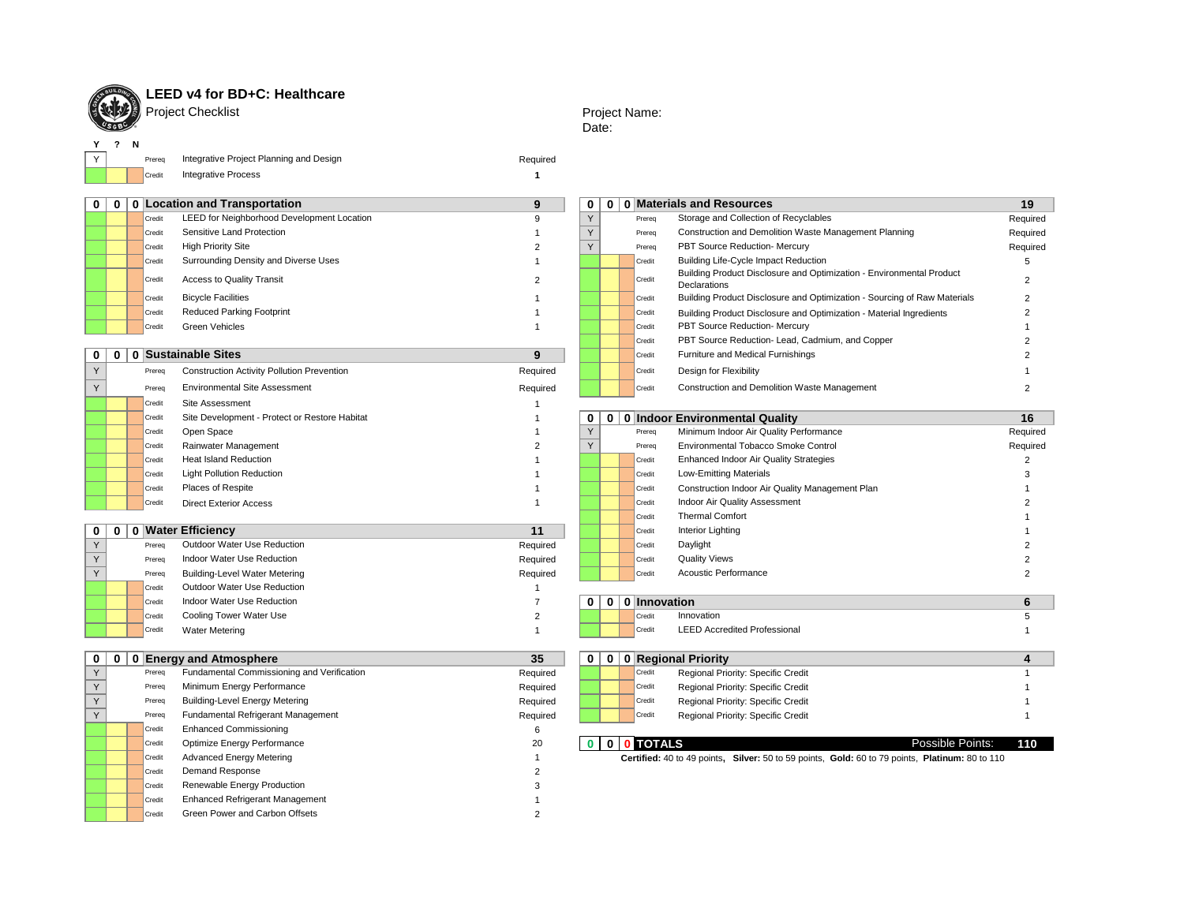

**Y ? N**

# LEED v4 for BD+C: Healthcare

Project Checklist

### Project Name: Date:

Y | Prereq Integrative Project Planning and Design Network Controller and Design Network Required Credit **1** Integrative Process

| $\mathbf{0}$             | 0 0 Location and Transportation                   | 9              | $\mathbf 0$    |                | 0   0   Materials and Resources                                                                 | 19             |
|--------------------------|---------------------------------------------------|----------------|----------------|----------------|-------------------------------------------------------------------------------------------------|----------------|
| Credit                   | LEED for Neighborhood Development Location        | 9              | Y              | Prereq         | Storage and Collection of Recyclables                                                           | Required       |
| Credit                   | Sensitive Land Protection                         |                | Y              | Prereq         | Construction and Demolition Waste Management Planning                                           | Required       |
| Credit                   | <b>High Priority Site</b>                         | $\mathcal{P}$  | Y              | Prereq         | PBT Source Reduction- Mercury                                                                   | Required       |
| Credit                   | Surrounding Density and Diverse Uses              | $\mathbf{1}$   |                | Credit         | <b>Building Life-Cycle Impact Reduction</b>                                                     | 5              |
| Credit                   | Access to Quality Transit                         | $\overline{2}$ |                | Credit         | Building Product Disclosure and Optimization - Environmental Product<br>Declarations            | $\overline{2}$ |
| Credit                   | <b>Bicycle Facilities</b>                         |                |                | Credit         | Building Product Disclosure and Optimization - Sourcing of Raw Materials                        | $\overline{2}$ |
| Credit                   | <b>Reduced Parking Footprint</b>                  |                |                | Credit         | Building Product Disclosure and Optimization - Material Ingredients                             |                |
| Credit                   | <b>Green Vehicles</b>                             | $\overline{1}$ |                | Credit         | PBT Source Reduction- Mercury                                                                   |                |
|                          |                                                   |                |                | Credit         | PBT Source Reduction- Lead, Cadmium, and Copper                                                 |                |
| $\bf{0}$<br>$\mathbf{0}$ | 0 Sustainable Sites                               | 9              |                | Credit         | Furniture and Medical Furnishings                                                               |                |
| Y<br>Prereq              | <b>Construction Activity Pollution Prevention</b> | Required       |                | Credit         | Design for Flexibility                                                                          |                |
| Y<br>Prereq              | <b>Environmental Site Assessment</b>              | Required       |                | Credit         | Construction and Demolition Waste Management                                                    |                |
| Credit                   | Site Assessment                                   |                |                |                |                                                                                                 |                |
| Credit                   | Site Development - Protect or Restore Habitat     |                | 0              |                | 0   0   Indoor Environmental Quality                                                            | 16             |
| Credit                   | Open Space                                        |                | Y              | Prereq         | Minimum Indoor Air Quality Performance                                                          | Required       |
| Credit                   | Rainwater Management                              | $\overline{2}$ | Y              | Prereq         | Environmental Tobacco Smoke Control                                                             | Required       |
| Credit                   | <b>Heat Island Reduction</b>                      |                |                | Credit         | Enhanced Indoor Air Quality Strategies                                                          | $\overline{2}$ |
| Credit                   | <b>Light Pollution Reduction</b>                  |                |                | Credit         | <b>Low-Emitting Materials</b>                                                                   | 3              |
| Credit                   | Places of Respite                                 |                |                | Credit         | Construction Indoor Air Quality Management Plan                                                 |                |
| Credit                   | <b>Direct Exterior Access</b>                     | $\overline{1}$ |                | Credit         | Indoor Air Quality Assessment                                                                   |                |
|                          |                                                   |                |                | Credit         | <b>Thermal Comfort</b>                                                                          |                |
| $\bf{0}$                 | 0 0 Water Efficiency                              | 11             |                | Credit         | Interior Lighting                                                                               |                |
| Y<br>Prereq              | Outdoor Water Use Reduction                       | Required       |                | Credit         | Daylight                                                                                        |                |
| Y<br>Prereq              | Indoor Water Use Reduction                        | Required       |                | Credit         | <b>Quality Views</b>                                                                            |                |
| Y<br>Prereq              | <b>Building-Level Water Metering</b>              | Required       |                | Credit         | Acoustic Performance                                                                            | $\overline{2}$ |
| Credit                   | Outdoor Water Use Reduction                       | $\overline{1}$ |                |                |                                                                                                 |                |
| Credit                   | Indoor Water Use Reduction                        | $\overline{7}$ | 0 <sup>1</sup> | 0 0 Innovation |                                                                                                 | 6              |
| Credit                   | Cooling Tower Water Use                           | $\overline{2}$ |                | Credit         | Innovation                                                                                      | 5              |
| Credit                   | <b>Water Metering</b>                             | $\overline{1}$ |                | Credit         | <b>LEED Accredited Professional</b>                                                             | $\mathbf{1}$   |
| $\mathbf{0}$<br>0        | 0 Energy and Atmosphere                           | 35             | $\mathbf{0}$   |                | 0   0   Regional Priority                                                                       | 4              |
| Y<br>Prereq              | Fundamental Commissioning and Verification        | Required       |                | Credit         | Regional Priority: Specific Credit                                                              | $\overline{1}$ |
| Y<br>Prereq              | Minimum Energy Performance                        | Required       |                | Credit         | Regional Priority: Specific Credit                                                              |                |
| Y<br>Prereq              | <b>Building-Level Energy Metering</b>             | Required       |                | Credit         | Regional Priority: Specific Credit                                                              |                |
| Y<br>Prereq              | Fundamental Refrigerant Management                | Required       |                | Credit         | Regional Priority: Specific Credit                                                              |                |
| Credit                   | <b>Enhanced Commissioning</b>                     | 6              |                |                |                                                                                                 |                |
| Credit                   | Optimize Energy Performance                       | 20             |                | 0 0 0 TOTALS   | Possible Points:                                                                                | 110            |
| Credit                   | <b>Advanced Energy Metering</b>                   | $\overline{1}$ |                |                | Certified: 40 to 49 points, Silver: 50 to 59 points, Gold: 60 to 79 points, Platinum: 80 to 110 |                |
| Credit                   | Demand Response                                   | 2              |                |                |                                                                                                 |                |
| Credit                   | Renewable Energy Production                       | 3              |                |                |                                                                                                 |                |
| Credit                   | Enhanced Refrigerant Management                   |                |                |                |                                                                                                 |                |
| Credit                   | Green Power and Carbon Offsets                    | $\mathcal{P}$  |                |                |                                                                                                 |                |